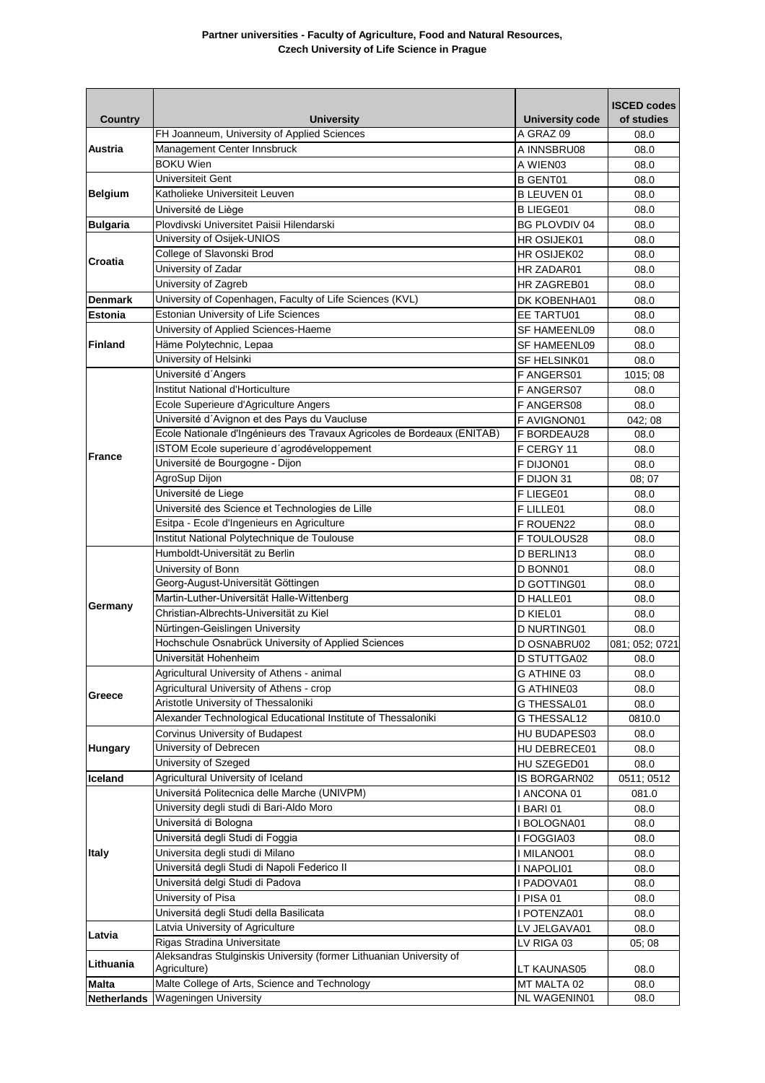## **Partner universities - Faculty of Agriculture, Food and Natural Resources, Czech University of Life Science in Prague**

| <b>Country</b>                    | <b>University</b>                                                                   | <b>University code</b>     | <b>ISCED codes</b><br>of studies |
|-----------------------------------|-------------------------------------------------------------------------------------|----------------------------|----------------------------------|
|                                   | FH Joanneum, University of Applied Sciences                                         | A GRAZ 09                  | 08.0                             |
| Austria                           | Management Center Innsbruck                                                         | A INNSBRU08                | 08.0                             |
|                                   | <b>BOKU Wien</b>                                                                    | A WIEN03                   | 08.0                             |
|                                   | Universiteit Gent                                                                   | <b>B GENT01</b>            | 08.0                             |
| <b>Belgium</b><br><b>Bulgaria</b> | Katholieke Universiteit Leuven                                                      | <b>B LEUVEN 01</b>         | 08.0                             |
|                                   | Université de Liège                                                                 | <b>B LIEGE01</b>           | 08.0                             |
|                                   | Plovdivski Universitet Paisii Hilendarski                                           | <b>BG PLOVDIV 04</b>       | 08.0                             |
|                                   | University of Osijek-UNIOS                                                          | HR OSIJEK01                | 08.0                             |
|                                   | College of Slavonski Brod                                                           | HR OSIJEK02                | 08.0                             |
| Croatia                           | University of Zadar                                                                 | HR ZADAR01                 | 08.0                             |
|                                   | University of Zagreb                                                                | HR ZAGREB01                | 08.0                             |
| <b>Denmark</b>                    | University of Copenhagen, Faculty of Life Sciences (KVL)                            | DK KOBENHA01               | 08.0                             |
| <b>Estonia</b>                    | Estonian University of Life Sciences                                                | EE TARTU01                 | 08.0                             |
| <b>Finland</b>                    | University of Applied Sciences-Haeme                                                | SF HAMEENL09               | 08.0                             |
|                                   | Häme Polytechnic, Lepaa                                                             | <b>SF HAMEENL09</b>        | 08.0                             |
|                                   | University of Helsinki                                                              | SF HELSINK01               | 08.0                             |
|                                   | Université d'Angers                                                                 | F ANGERS01                 | 1015; 08                         |
|                                   | Institut National d'Horticulture                                                    | F ANGERS07                 | 08.0                             |
|                                   | Ecole Superieure d'Agriculture Angers                                               | F ANGERS08                 | 08.0                             |
|                                   | Université d'Avignon et des Pays du Vaucluse                                        | F AVIGNON01                | 042; 08                          |
|                                   | Ecole Nationale d'Ingénieurs des Travaux Agricoles de Bordeaux (ENITAB)             | F BORDEAU28                | 08.0                             |
| <b>France</b>                     | ISTOM Ecole superieure d'agrodéveloppement                                          | F CERGY 11                 | 08.0                             |
|                                   | Université de Bourgogne - Dijon                                                     | F DIJON01                  | 08.0                             |
|                                   | AgroSup Dijon                                                                       | F DIJON 31                 | 08;07                            |
|                                   | Université de Liege                                                                 | F LIEGE01                  | 08.0                             |
|                                   | Université des Science et Technologies de Lille                                     | F LILLE01                  | 08.0                             |
|                                   | Esitpa - Ecole d'Ingenieurs en Agriculture                                          | F ROUEN22                  | 08.0                             |
|                                   | Institut National Polytechnique de Toulouse                                         | F TOULOUS28                | 08.0                             |
|                                   | Humboldt-Universität zu Berlin                                                      | D BERLIN13                 | 08.0                             |
|                                   | University of Bonn                                                                  | D BONN01                   | 08.0                             |
| Germany                           | Georg-August-Universität Göttingen<br>Martin-Luther-Universität Halle-Wittenberg    | D GOTTING01                | 08.0                             |
|                                   | Christian-Albrechts-Universität zu Kiel                                             | D HALLE01                  | 08.0                             |
|                                   | Nürtingen-Geislingen University                                                     | D KIEL01                   | 08.0                             |
|                                   | Hochschule Osnabrück University of Applied Sciences                                 | D NURTING01<br>D OSNABRU02 | 08.0<br>081; 052; 0721           |
|                                   | Universität Hohenheim                                                               | D STUTTGA02                | 08.0                             |
|                                   | Agricultural University of Athens - animal                                          | G ATHINE 03                | 08.0                             |
|                                   | Agricultural University of Athens - crop                                            | G ATHINE03                 | 08.0                             |
| Greece                            | Aristotle University of Thessaloniki                                                | G THESSAL01                | 08.0                             |
|                                   | Alexander Technological Educational Institute of Thessaloniki                       | G THESSAL12                | 0810.0                           |
|                                   | Corvinus University of Budapest                                                     | HU BUDAPES03               | 08.0                             |
| <b>Hungary</b>                    | University of Debrecen                                                              | HU DEBRECE01               | 08.0                             |
|                                   | University of Szeged                                                                | HU SZEGED01                | 08.0                             |
| Iceland                           | Agricultural University of Iceland                                                  | IS BORGARN02               | 0511; 0512                       |
|                                   | Universitá Politecnica delle Marche (UNIVPM)                                        | I ANCONA 01                | 081.0                            |
|                                   | University degli studi di Bari-Aldo Moro                                            | I BARI 01                  | 08.0                             |
| <b>Italy</b>                      | Universitá di Bologna                                                               | I BOLOGNA01                | 08.0                             |
|                                   | Universitá degli Studi di Foggia                                                    | I FOGGIA03                 | 08.0                             |
|                                   | Universita degli studi di Milano                                                    | I MILANO01                 | 08.0                             |
|                                   | Universitá degli Studi di Napoli Federico II                                        | I NAPOLI01                 | 08.0                             |
|                                   | Universitá delgi Studi di Padova                                                    | I PADOVA01                 | 08.0                             |
|                                   | University of Pisa                                                                  | I PISA 01                  | 08.0                             |
|                                   | Universitá degli Studi della Basilicata                                             | I POTENZA01                | 08.0                             |
| Latvia                            | Latvia University of Agriculture                                                    | LV JELGAVA01               | 08.0                             |
|                                   | Rigas Stradina Universitate                                                         | LV RIGA 03                 | 05;08                            |
| Lithuania                         | Aleksandras Stulginskis University (former Lithuanian University of<br>Agriculture) | LT KAUNAS05                | 08.0                             |
| <b>Malta</b>                      | Malte College of Arts, Science and Technology                                       | MT MALTA 02                | 08.0                             |
| <b>Netherlands</b>                | <b>Wageningen University</b>                                                        | NL WAGENIN01               | 08.0                             |